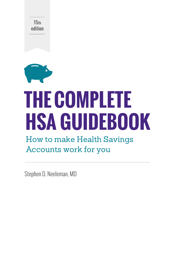15th edition



# **THE COMPLETE HSA GUIDEBOOK**

### How to make Health Savings Accounts work for you

Stephen D. Neeleman, MD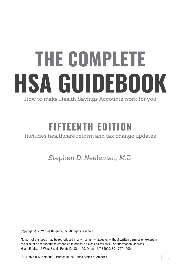# THE COMPLETE HSA GUIDEBOOK

How to make Health Savings Accounts work for you

## FIFTEENTH EDITION

#### Includes healthcare reform and tax change updates

*Stephen D. Neeleman, M.D.*

Copyright © 2021 HealthEquity, Inc. All rights reserved.

No part of this book may be reproduced in any manner whatsoever without written permission except in the case of brief quotations embodied in critical articles and reviews. For information, address HealthEquity, 15 West Scenic Pointe Dr, Ste. 100, Draper, UT 84020, 801-727-1000.

ISBN: 978-0-692-95308-2 Printed in the United States of America.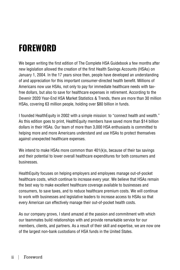## FOREWORD

We began writing the first edition of The Complete HSA Guidebook a few months after new legislation allowed the creation of the first Health Savings Accounts (HSAs) on January 1, 2004. In the 17 years since then, people have developed an understanding of and appreciation for this important consumer-directed health benefit. Millions of Americans now use HSAs, not only to pay for immediate healthcare needs with taxfree dollars, but also to save for healthcare expenses in retirement. According to the Devenir 2020 Year-End HSA Market Statistics & Trends, there are more than 30 million HSAs, covering 63 million people, holding over \$80 billion in funds.

I founded HealthEquity in 2002 with a simple mission: to "connect health and wealth." As this edition goes to print, HealthEquity members have saved more than \$14 billion dollars in their HSAs. Our team of more than 3,000 HSA enthusiasts is committed to helping more and more Americans understand and use HSAs to protect themselves against unexpected healthcare expenses.

We intend to make HSAs more common than 401(k)s, because of their tax savings and their potential to lower overall healthcare expenditures for both consumers and businesses.

HealthEquity focuses on helping employers and employees manage out-of-pocket healthcare costs, which continue to increase every year. We believe that HSAs remain the best way to make excellent healthcare coverage available to businesses and consumers, to save taxes, and to reduce healthcare premium costs. We will continue to work with businesses and legislative leaders to increase access to HSAs so that every American can effectively manage their out-of-pocket health costs.

As our company grows, I stand amazed at the passion and commitment with which our teammates build relationships with and provide remarkable service for our members, clients, and partners. As a result of their skill and expertise, we are now one of the largest non-bank custodians of HSA funds in the United States.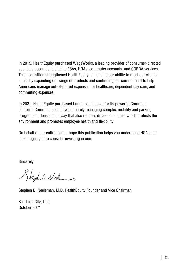In 2019, HealthEquity purchased WageWorks, a leading provider of consumer-directed spending accounts, including FSAs, HRAs, commuter accounts, and COBRA services. This acquisition strengthened HealthEquity, enhancing our ability to meet our clients' needs by expanding our range of products and continuing our commitment to help Americans manage out-of-pocket expenses for healthcare, dependent day care, and commuting expenses.

In 2021, HealthEquity purchased Luum, best known for its powerful Commute platform. Commute goes beyond merely managing complex mobility and parking programs; it does so in a way that also reduces drive-alone rates, which protects the environment and promotes employee health and flexibility.

On behalf of our entire team, I hope this publication helps you understand HSAs and encourages you to consider investing in one.

Sincerely,

Styd 1. Nelen mis

Stephen D. Neeleman, M.D. HealthEquity Founder and Vice Chairman

Salt Lake City, Utah October 2021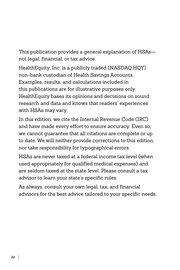This publication provides a general explanation of HSAs not legal, financial, or tax advice.

HealthEquity, Inc. is a publicly traded (NASDAQ:HQY) non-bank custodian of Health Savings Accounts. Examples, results, and calculations included in this publications are for illustrative purposes only. HealthEquity bases its opinions and decisions on sound research and data and knows that readers' experiences with HSAs may vary.

In this edition, we cite the Internal Revenue Code (IRC) and have made every effort to ensure accuracy. Even so, we cannot guarantee that all citations are complete or up to date. We will neither provide corrections to this edition, nor take responsibility for typographical errors.

HSAs are never taxed at a federal income tax level (when used appropriately for qualified medical expenses) and are seldom taxed at the state level. Please consult a tax advisor to learn your state's specific rules.

As always, consult your own legal, tax, and financial advisors for the best advice tailored to your specific needs.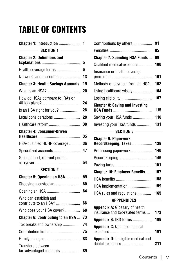## TABLE OF CONTENTS

| Chapter 1: Introduction                                     | 1  |
|-------------------------------------------------------------|----|
| SECTION 1                                                   |    |
| <b>Chapter 2: Definitions and</b>                           |    |
|                                                             | 5  |
| Health coverage terms                                       | 6  |
| Networks and discounts                                      | 13 |
| <b>Chapter 3: Health Savings Accounts</b>                   | 19 |
| What is an HSA?                                             | 20 |
| How do HSAs compare to IRAs or                              | 24 |
| Is an HSA right for you?                                    | 26 |
| Legal considerations                                        | 28 |
| Healthcare reform                                           | 30 |
| <b>Chapter 4: Consumer-Driven</b>                           | 35 |
| HSA-qualified HDHP coverage                                 | 36 |
| Specialized accounts                                        | 47 |
| Grace period, run-out period,                               | 54 |
| $\overline{\phantom{a}}$ Section 2 $\overline{\phantom{a}}$ |    |
| Chapter 5: Opening an HSA                                   | 59 |
| Choosing a custodian                                        | 60 |
|                                                             | 64 |
| Who can establish and<br>contribute to an HSA?              | 66 |
| Who does your HSA cover?                                    | 68 |
| Chapter 6: Contributing to an HSA                           | 73 |
| Tax breaks and ownership                                    | 74 |
| Contribution limits                                         | 75 |
| Family changes                                              | 83 |
| Transfers between<br>tax-advantaged accounts                | 89 |

| Contributions by others                                                                         | 91  |
|-------------------------------------------------------------------------------------------------|-----|
|                                                                                                 | 95  |
| <b>Chapter 7: Spending HSA Funds</b>                                                            | 99  |
| Qualified medical expenses                                                                      | 100 |
| Insurance or health coverage                                                                    | 101 |
| Methods of payment from an HSA.                                                                 | 102 |
| Using healthcare wisely                                                                         | 104 |
| Losing eligibility                                                                              | 107 |
| <b>Chapter 8: Saving and Investing</b>                                                          | 115 |
| Saving your HSA funds                                                                           | 116 |
| Investing your HSA funds                                                                        | 131 |
| SECTION 3 $\qquad$                                                                              |     |
| <b>Chapter 9: Paperwork,</b><br>Recordkeeping, Taxes                                            | 139 |
| Processing paperwork                                                                            | 140 |
| Recordkeeping                                                                                   | 146 |
|                                                                                                 | 151 |
| <b>Chapter 10: Employer Benefits </b>                                                           | 157 |
| HSA benefits                                                                                    | 158 |
| HSA implementation                                                                              | 159 |
| HSA rules and regulations                                                                       | 165 |
| $\overline{\phantom{a}}$ . The set of the set of $\overline{\phantom{a}}$<br><b>APPPENDICES</b> |     |
| <b>Appendix A: Glossary of health</b><br>insurance and tax-related terms                        | 173 |
| Appendix B: IRS forms                                                                           | 189 |
| <b>Appendix C: Qualified medical</b>                                                            | 191 |
| Appendix D: Ineligible medical and                                                              |     |
| dental expenses                                                                                 | 211 |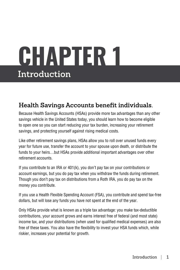## CHAPTER 1 **Introduction**

#### **Health Savings Accounts benefit individuals.**

Because Health Savings Accounts (HSAs) provide more tax advantages than any other savings vehicle in the United States today, you should learn how to become eligible to open one so you can start reducing your tax burden, increasing your retirement savings, and protecting yourself against rising medical costs.

Like other retirement savings plans, HSAs allow you to roll over unused funds every year for future use, transfer the account to your spouse upon death, or distribute the funds to your heirs…but HSAs provide additional important advantages over other retirement accounts.

If you contribute to an IRA or 401(k), you don't pay tax on your contributions or account earnings, but you do pay tax when you withdraw the funds during retirement. Though you don't pay tax on distributions from a Roth IRA, you do pay tax on the money you contribute.

If you use a Health Flexible Spending Account (FSA), you contribute and spend tax-free dollars, but will lose any funds you have not spent at the end of the year.

Only HSAs provide what is known as a triple tax advantage: you make tax-deductible contributions, your account grows and earns interest free of federal (and most state) income tax, and your distributions (when used for qualified medical expenses) are also free of these taxes. You also have the flexibility to invest your HSA funds which, while riskier, increases your potential for growth.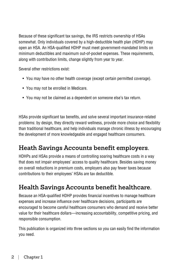Because of these significant tax savings, the IRS restricts ownership of HSAs somewhat. Only individuals covered by a high-deductible health plan (HDHP) may open an HSA. An HSA-qualified HDHP must meet government-mandated limits on minimum deductibles and maximum out-of-pocket expenses. These requirements, along with contribution limits, change slightly from year to year.

Several other restrictions exist:

- You may have no other health coverage (except certain permitted coverage).
- You may not be enrolled in Medicare.
- You may not be claimed as a dependent on someone else's tax return.

HSAs provide significant tax benefits, and solve several important insurance-related problems: by design, they directly reward wellness, provide more choice and flexibility than traditional healthcare, and help individuals manage chronic illness by encouraging the development of more knowledgeable and engaged healthcare consumers.

#### **Heath Savings Accounts benefit employers.**

HDHPs and HSAs provide a means of controlling soaring healthcare costs in a way that does not impair employees' access to quality healthcare. Besides saving money on overall reductions in premium costs, employers also pay fewer taxes because contributions to their employees' HSAs are tax deductible.

#### **Health Savings Accounts benefit healthcare.**

Because an HSA-qualified HDHP provides financial incentives to manage healthcare expenses and increase influence over healthcare decisions, participants are encouraged to become careful healthcare consumers who demand and receive better value for their healthcare dollars—increasing accountability, competitive pricing, and responsible consumption.

This publication is organized into three sections so you can easily find the information you need.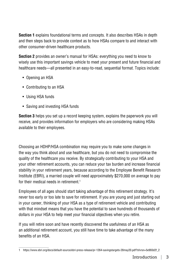**Section 1** explains foundational terms and concepts. It also describes HSAs in depth and then steps back to provide context as to how HSAs compare to and interact with other consumer-driven healthcare products.

**Section 2** provides an owner's manual for HSAs: everything you need to know to wisely use this important savings vehicle to meet your present and future financial and healthcare needs—all presented in an easy-to-read, sequential format. Topics include:

- Opening an HSA
- Contributing to an HSA
- Using HSA funds
- Saving and investing HSA funds

**Section 3** helps you set up a record keeping system, explains the paperwork you will receive, and provides information for employers who are considering making HSAs available to their employees.

Choosing an HDHP/HSA combination may require you to make some changes in the way you think about and use healthcare, but you do not need to compromise the quality of the healthcare you receive. By strategically contributing to your HSA and your other retirement accounts, you can reduce your tax burden and increase financial stability in your retirement years, because according to the Employee Benefit Research Institute (EBRI), a married couple will need approximately \$270,000 on average to pay for their medical needs in retirement. $^{\rm 1}$ 

Employees of all ages should start taking advantage of this retirement strategy. It's never too early or too late to save for retirement. If you are young and just starting out in your career, thinking of your HSA as a type of retirement vehicle and contributing with that mindset means that you have the potential to save hundreds of thousands of dollars in your HSA to help meet your financial objectives when you retire.

If you will retire soon and have recently discovered the usefulness of an HSA as an additional retirement account, you still have time to take advantage of the many benefits of an HSA.

<sup>1</sup> https://www.ebri.org/docs/default-source/ebri-press-release/pr-1264-savingstargets-28may20.pdf?sfvrsn=5e993d2f\_2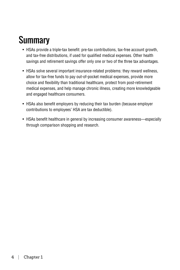## **Summary**

- HSAs provide a triple-tax benefit: pre-tax contributions, tax-free account growth, and tax-free distributions, if used for qualified medical expenses. Other health savings and retirement savings offer only one or two of the three tax advantages.
- HSAs solve several important insurance-related problems: they reward wellness, allow for tax-free funds to pay out-of-pocket medical expenses, provide more choice and flexibility than traditional healthcare, protect from post-retirement medical expenses, and help manage chronic illness, creating more knowledgeable and engaged healthcare consumers.
- HSAs also benefit employers by reducing their tax burden (because employer contributions to employees' HSA are tax deductible).
- HSAs benefit healthcare in general by increasing consumer awareness—especially through comparison shopping and research.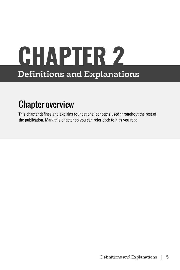## CHAPTER 2 **Definitions and Explanations**

## Chapter overview

This chapter defines and explains foundational concepts used throughout the rest of the publication. Mark this chapter so you can refer back to it as you read.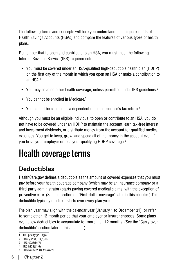The following terms and concepts will help you understand the unique benefits of Health Savings Accounts (HSAs) and compare the features of various types of health plans.

Remember that to open and contribute to an HSA, you must meet the following Internal Revenue Service (IRS) requirements:

- You must be covered under an HSA-qualified high-deductible health plan (HDHP) on the first day of the month in which you open an HSA or make a contribution to an HSA<sup>1</sup>
- You may have no other health coverage, unless permitted under IRS guidelines.<sup>2</sup>
- You cannot be enrolled in Medicare.<sup>3</sup>
- You cannot be claimed as a dependent on someone else's tax return.<sup>4</sup>

Although you must be an eligible individual to open or contribute to an HSA, you do not have to be covered under an HDHP to maintain the account, earn tax-free interest and investment dividends, or distribute money from the account for qualified medical expenses. You get to keep, grow, and spend all of the money in the account even if you leave your employer or lose your qualifying HDHP coverage.5

## Health coverage terms

#### **Deductibles**

HealthCare.gov defines a deductible as the amount of covered expenses that you must pay before your health coverage company (which may be an insurance company or a third-party administrator) starts paying covered medical claims, with the exception of preventive care. (See the section on "First-dollar coverage" later in this chapter.) This deductible typically resets or starts over every plan year.

The plan year may align with the calendar year (January 1 to December 31), or refer to some other 12-month period that your employer or insurer chooses. Some plans even allow deductibles to accumulate for more than 12 months. (See the "Carry-over deductible" section later in this chapter.)

- 4 IRC  $\frac{8}{223(b)(6)}$
- 5 IRS Notice 2004-2 Q&A 20

<sup>1</sup> IRC §223(c)(1)(A)(i)

<sup>2</sup> IRC  $\S223(c)(1)(A)(ii)$ 

<sup>3</sup> IRC §223(b)(7)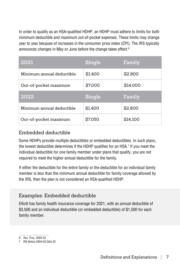In order to qualify as an HSA-qualified HDHP, an HDHP must adhere to limits for both minimum deductible and maximum out-of-pocket expenses. These limits may change year to year because of increases in the consumer price index (CPI). The IRS typically announces changes in May or June before the change takes effect.<sup>6</sup>

| 2021                      | Single  | Family   |
|---------------------------|---------|----------|
| Minimum annual deductible | \$1,400 | \$2,800  |
| Out-of-pocket maximum     | \$7,000 | \$14,000 |
|                           |         |          |
| 2022                      | Single  | Family   |
| Minimum annual deductible | \$1,400 | \$2,800  |

#### Embedded deductible

Some HDHPs provide multiple deductibles or embedded deductibles. In such plans, the lowest deductible determines if the HDHP qualifies for an HSA.<sup>7</sup> If you meet the individual deductible for one family member under plans that qualify, you are not required to meet the higher annual deductible for the family.

If either the deductible for the entire family or the deductible for an individual family member is less than the minimum annual deductible for family coverage allowed by the IRS, then the plan is not considered an HSA-qualified HDHP.

#### Examples: Embedded deductible

Elliott has family health insurance coverage for 2021, with an annual deductible of \$3,500 and an individual deductible (or embedded deductible) of \$1,500 for each family member.

<sup>6</sup> Rev. Proc. 2020-32

<sup>7</sup> IRS Notice 2004-50 Q&A 20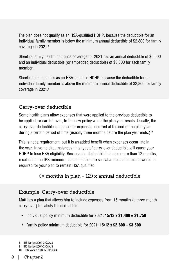The plan does not qualify as an HSA-qualified HDHP, because the deductible for an individual family member is below the minimum annual deductible of \$2,800 for family coverage in 2021.8

Sheela's family health insurance coverage for 2021 has an annual deductible of \$6,000 and an individual deductible (or embedded deductible) of \$3,000 for each family member.

Sheela's plan qualifies as an HSA-qualified HDHP, because the deductible for an individual family member is above the minimum annual deductible of \$2,800 for family coverage in 2021.9

#### Carry-over deductible

Some health plans allow expenses that were applied to the previous deductible to be applied, or carried over, to the new policy when the plan year resets. Usually, the carry-over deductible is applied for expenses incurred at the end of the plan year during a certain period of time (usually three months before the plan year ends.)<sup>10</sup>

This is not a requirement, but it is an added benefit when expenses occur late in the year. In some circumstances, this type of carry-over deductible will cause your HDHP to lose HSA eligibility. Because the deductible includes more than 12 months, recalculate the IRS minimum deductible limit to see what deductible limits would be required for your plan to remain HSA qualified.

#### ( $\#$  months in plan  $\div$  12) x annual deductible

#### Example: Carry-over deductible

Matt has a plan that allows him to include expenses from 15 months (a three-month carry-over) to satisfy the deductible.

- Individual policy minimum deductible for 2021: **15/12 x \$1,400 = \$1,750**
- Family policy minimum deductible for 2021: **15/12 x \$2,800 = \$3,500**

<sup>8</sup> IRS Notice 2004-2 Q&A 3

<sup>9</sup> IRS Notice 2004-2 Q&A 3

<sup>10</sup> IRS Notice 2004-50 Q&A 24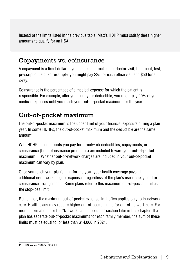Instead of the limits listed in the previous table, Matt's HDHP must satisfy these higher amounts to qualify for an HSA.

#### **Copayments vs. coinsurance**

A copayment is a fixed-dollar payment a patient makes per doctor visit, treatment, test, prescription, etc. For example, you might pay \$35 for each office visit and \$50 for an x-ray.

Coinsurance is the percentage of a medical expense for which the patient is responsible. For example, after you meet your deductible, you might pay 20% of your medical expenses until you reach your out-of-pocket maximum for the year.

#### **Out-of-pocket maximum**

The out-of-pocket maximum is the upper limit of your financial exposure during a plan year. In some HDHPs, the out-of-pocket maximum and the deductible are the same amount.

With HDHPs, the amounts you pay for in-network deductibles, copayments, or coinsurance (but not insurance premiums) are included toward your out-of-pocket maximum.11 Whether out-of-network charges are included in your out-of-pocket maximum can vary by plan.

Once you reach your plan's limit for the year, your health coverage pays all additional in-network, eligible expenses, regardless of the plan's usual copayment or coinsurance arrangements. Some plans refer to this maximum out-of-pocket limit as the stop-loss limit.

Remember, the maximum out-of-pocket expense limit often applies only to in-network care. Health plans may require higher out-of-pocket limits for out-of-network care. For more information, see the "Networks and discounts" section later in this chapter. If a plan has separate out-of-pocket maximums for each family member, the sum of these limits must be equal to, or less than \$14,000 in 2021.

<sup>11</sup> IRS Notice 2004-50 Q&A 21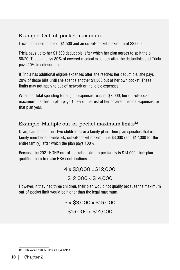#### Example: Out-of-pocket maximum

Tricia has a deductible of \$1,500 and an out-of-pocket maximum of \$3,000.

Tricia pays up to her \$1,500 deductible, after which her plan agrees to split the bill 80/20. The plan pays 80% of covered medical expenses after the deductible, and Tricia pays 20% in coinsurance.

If Tricia has additional eligible expenses after she reaches her deductible, she pays 20% of those bills until she spends another \$1,500 out of her own pocket. These limits may not apply to out-of-network or ineligible expenses.

When her total spending for eligible expenses reaches \$3,000, her out-of-pocket maximum, her health plan pays 100% of the rest of her covered medical expenses for that plan year.

#### Example: Multiple out-of-pocket maximum limits $12$

Dean, Laurie, and their two children have a family plan. Their plan specifies that each family member's in-network, out-of-pocket maximum is \$3,000 (and \$12,000 for the entire family), after which the plan pays 100%.

Because the 2021 HDHP out-of-pocket maximum per family is \$14,000, their plan qualifies them to make HSA contributions.

4 x \$3,000 = \$12,000

\$12,000 < \$14,000

However, if they had three children, their plan would not qualify because the maximum out-of-pocket limit would be higher than the legal maximum.

> 5 x \$3,000 = \$15,000 \$15,000 > \$14,000

<sup>12</sup> IRS Notice 2004-50 Q&A 20, Example 1